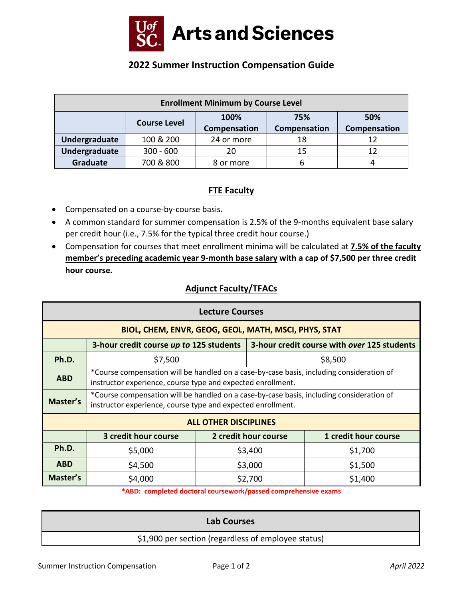

# **2022 Summer Instruction Compensation Guide**

| <b>Enrollment Minimum by Course Level</b> |                     |              |              |              |  |  |
|-------------------------------------------|---------------------|--------------|--------------|--------------|--|--|
|                                           | <b>Course Level</b> | 100%         | 75%          | 50%          |  |  |
|                                           |                     | Compensation | Compensation | Compensation |  |  |
| Undergraduate                             | 100 & 200           | 24 or more   | 18           |              |  |  |
| Undergraduate                             | $300 - 600$         | 20           | 15           | 12           |  |  |
| Graduate                                  | 700 & 800           | 8 or more    | b            |              |  |  |

## **FTE Faculty**

- Compensated on a course-by-course basis.
- A common standard for summer compensation is 2.5% of the 9-months equivalent base salary per credit hour (i.e., 7.5% for the typical three credit hour course.)
- Compensation for courses that meet enrollment minima will be calculated at **7.5% of the faculty member's preceding academic year 9-month base salary with a cap of \$7,500 per three credit hour course.**

## **Adjunct Faculty/TFACs**

| <b>Lecture Courses</b>                               |                                                                                                                                                         |  |                                             |                      |  |  |  |
|------------------------------------------------------|---------------------------------------------------------------------------------------------------------------------------------------------------------|--|---------------------------------------------|----------------------|--|--|--|
| BIOL, CHEM, ENVR, GEOG, GEOL, MATH, MSCI, PHYS, STAT |                                                                                                                                                         |  |                                             |                      |  |  |  |
|                                                      | 3-hour credit course up to 125 students                                                                                                                 |  | 3-hour credit course with over 125 students |                      |  |  |  |
| Ph.D.                                                | \$7,500                                                                                                                                                 |  | \$8,500                                     |                      |  |  |  |
| <b>ABD</b>                                           | *Course compensation will be handled on a case-by-case basis, including consideration of<br>instructor experience, course type and expected enrollment. |  |                                             |                      |  |  |  |
| Master's                                             | *Course compensation will be handled on a case-by-case basis, including consideration of<br>instructor experience, course type and expected enrollment. |  |                                             |                      |  |  |  |
| <b>ALL OTHER DISCIPLINES</b>                         |                                                                                                                                                         |  |                                             |                      |  |  |  |
|                                                      | 3 credit hour course                                                                                                                                    |  | 2 credit hour course                        | 1 credit hour course |  |  |  |
| Ph.D.                                                | \$5,000                                                                                                                                                 |  | \$3,400                                     | \$1,700              |  |  |  |
| <b>ABD</b>                                           | \$4,500                                                                                                                                                 |  | \$3,000                                     | \$1,500              |  |  |  |
| Master's                                             | \$4,000                                                                                                                                                 |  | \$2,700                                     | \$1,400              |  |  |  |

**\*ABD: completed doctoral coursework/passed comprehensive exams**

| <b>Lab Courses</b>                                  |
|-----------------------------------------------------|
| \$1,900 per section (regardless of employee status) |